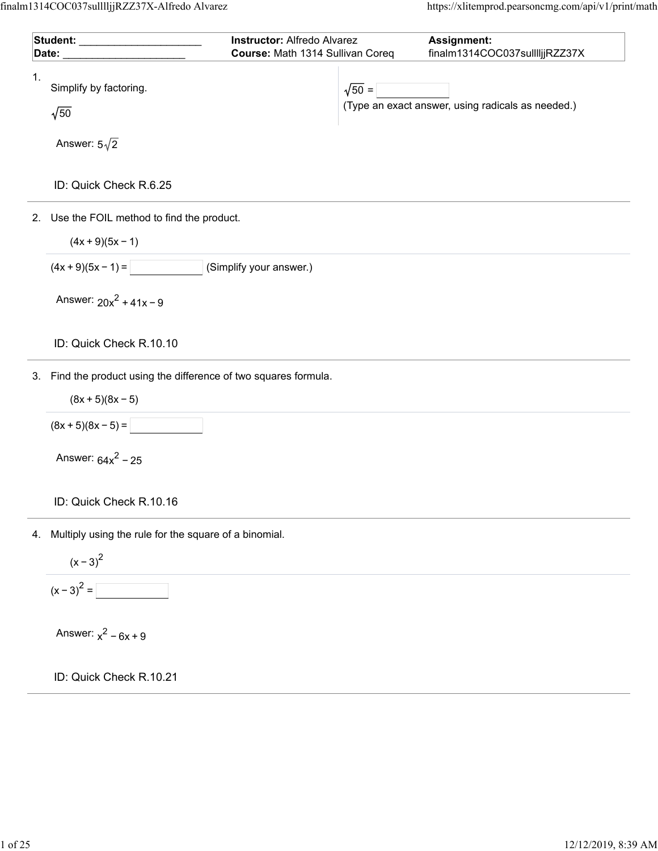| Student: ______________                                             | <b>Instructor: Alfredo Alvarez</b> |               | Assignment:                                       |
|---------------------------------------------------------------------|------------------------------------|---------------|---------------------------------------------------|
| Date:                                                               | Course: Math 1314 Sullivan Coreq   |               | finalm1314COC037sulllljjRZZ37X                    |
| 1.<br>Simplify by factoring.<br>$\sqrt{50}$                         |                                    | $\sqrt{50} =$ | (Type an exact answer, using radicals as needed.) |
| Answer: $5\sqrt{2}$                                                 |                                    |               |                                                   |
| ID: Quick Check R.6.25                                              |                                    |               |                                                   |
| 2. Use the FOIL method to find the product.                         |                                    |               |                                                   |
| $(4x + 9)(5x - 1)$                                                  |                                    |               |                                                   |
| $(4x+9)(5x-1)=$                                                     | (Simplify your answer.)            |               |                                                   |
| Answer: $20x^2 + 41x - 9$                                           |                                    |               |                                                   |
| ID: Quick Check R.10.10                                             |                                    |               |                                                   |
| Find the product using the difference of two squares formula.<br>3. |                                    |               |                                                   |
| $(8x + 5)(8x - 5)$                                                  |                                    |               |                                                   |
| $(8x + 5)(8x - 5) =$                                                |                                    |               |                                                   |
| Answer: $64x^2 - 25$                                                |                                    |               |                                                   |
| ID: Quick Check R.10.16                                             |                                    |               |                                                   |
| Multiply using the rule for the square of a binomial.<br>4.         |                                    |               |                                                   |
|                                                                     |                                    |               |                                                   |
| $\frac{(x-3)^2}{(x-3)^2} = \boxed{ }$                               |                                    |               |                                                   |
| Answer: $x^2 - 6x + 9$                                              |                                    |               |                                                   |
| ID: Quick Check R.10.21                                             |                                    |               |                                                   |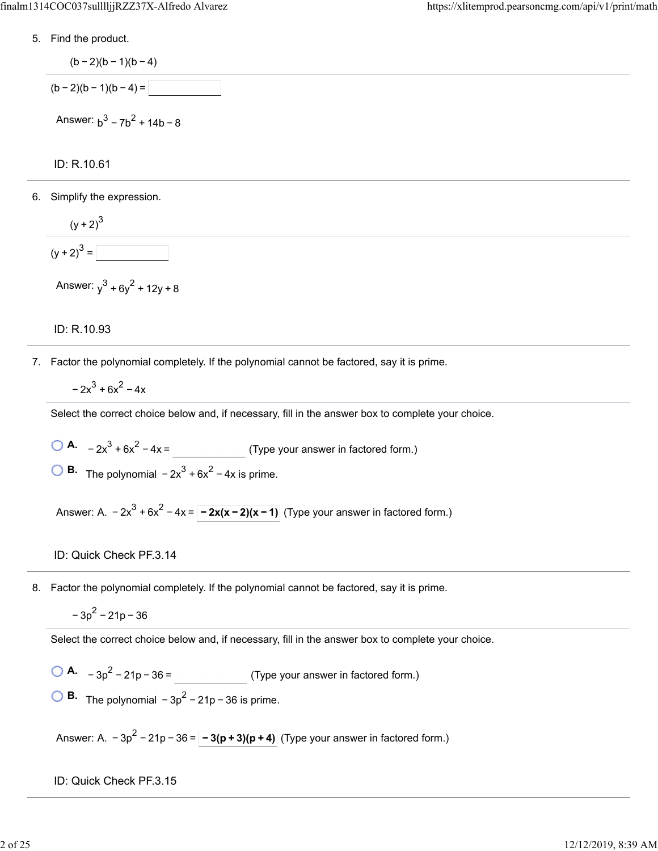5. Find the product.

$$
(b-2)(b-1)(b-4)
$$
  
(b-2)(b-1)(b-4) = \_\_\_\_\_\_  
Answer: b<sup>3</sup> - 7b<sup>2</sup> + 14b - 8

ID: R.10.61

6. Simplify the expression.

$$
\frac{(y+2)^3}{(y+2)^3} =
$$

Answer:  $y^3 + 6y^2 + 12y + 8$ 

#### ID: R.10.93

7. Factor the polynomial completely. If the polynomial cannot be factored, say it is prime.

 $-2x^3 + 6x^2 - 4x$ 

Select the correct choice below and, if necessary, fill in the answer box to complete your choice.

- **A.**  $-2x^3 + 6x^2 4x =$  (Type your answer in factored form.)
- **B.** The polynomial  $-2x^3 + 6x^2 4x$  is prime.

Answer: A.  $-2x^3 + 6x^2 - 4x = \boxed{-2x(x-2)(x-1)}$  (Type your answer in factored form.)

8. Factor the polynomial completely. If the polynomial cannot be factored, say it is prime.

$$
-3p^2 - 21p - 36
$$

Select the correct choice below and, if necessary, fill in the answer box to complete your choice.

**A.** 
$$
-3p^2 - 21p - 36 =
$$
 (Type your answer in factored form.)

**B.** The polynomial  $-3p^2 - 21p - 36$  is prime.

Answer: A.  $-3p^2 - 21p - 36 = \boxed{-3(p + 3)(p + 4)}$  (Type your answer in factored form.)

ID: Quick Check PF.3.15

ID: Quick Check PF.3.14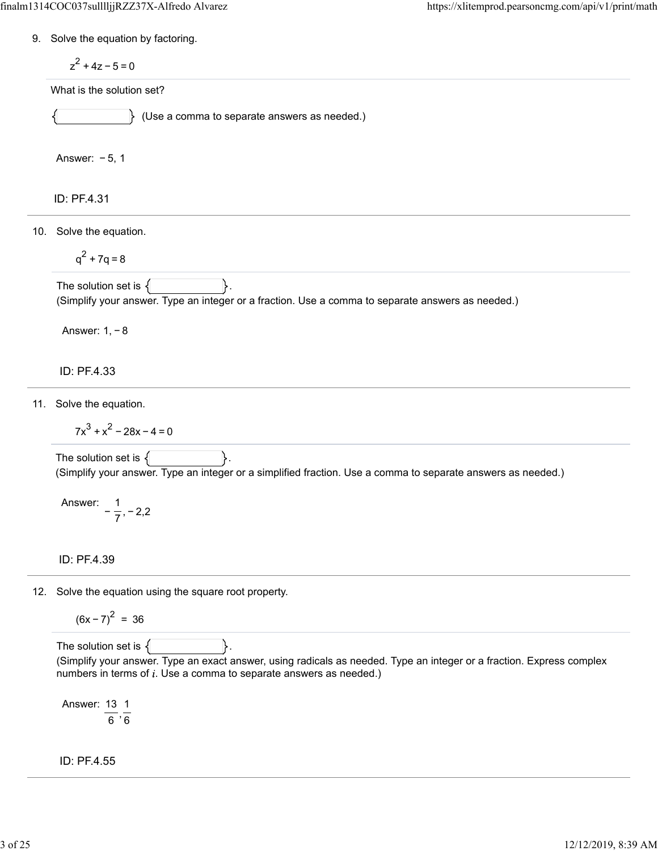9. Solve the equation by factoring.

$$
z^2 + 4z - 5 = 0
$$

What is the solution set?

(Use a comma to separate answers as needed.)

Answer: − 5, 1

ID: PF.4.31

10. Solve the equation.

$$
q^2 + 7q = 8
$$

The solution set is  $\{\vert$   $\vert$  . (Simplify your answer. Type an integer or a fraction. Use a comma to separate answers as needed.)

Answer: 1, − 8

ID: PF.4.33

11. Solve the equation.

 $7x<sup>3</sup> + x<sup>2</sup> - 28x - 4 = 0$ 

The solution set is  $\{$ (Simplify your answer. Type an integer or a simplified fraction. Use a comma to separate answers as needed.)

Answer:  $-\frac{1}{7}, -2, 2$ 7

ID: PF.4.39

12. Solve the equation using the square root property.

 $(6x - 7)^2 = 36$ 

The solution set is  $\{$   $\}$ . (Simplify your answer. Type an exact answer, using radicals as needed. Type an integer or a fraction. Express complex numbers in terms of  $i$ . Use a comma to separate answers as needed.)

Answer:  $\frac{13}{6}$ ,  $\frac{1}{6}$ 6 6

ID: PF.4.55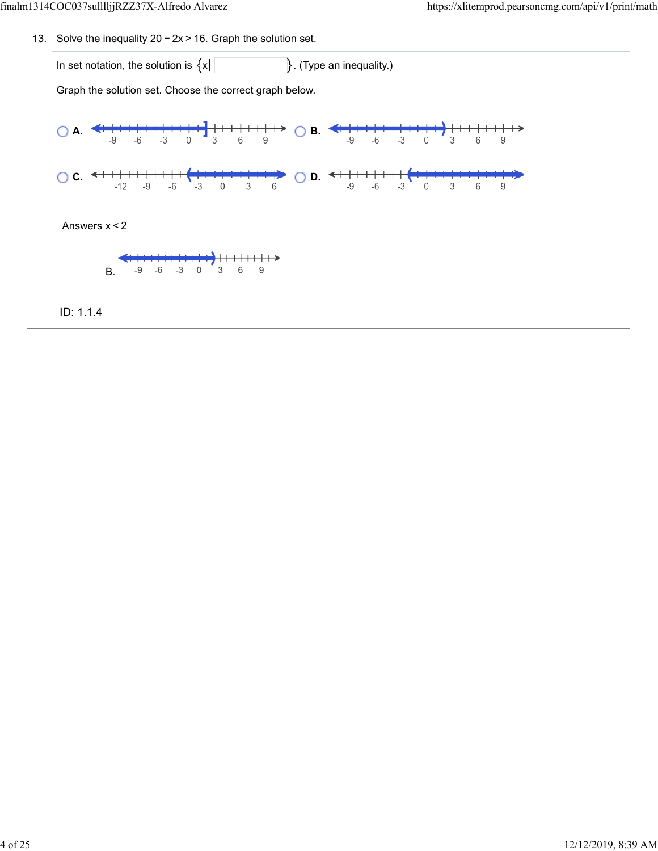13. Solve the inequality  $20 - 2x > 16$ . Graph the solution set.

In set notation, the solution is  $\{x \mid \Box$  (Type an inequality.)

Graph the solution set. Choose the correct graph below.



Answers x < 2



ID: 1.1.4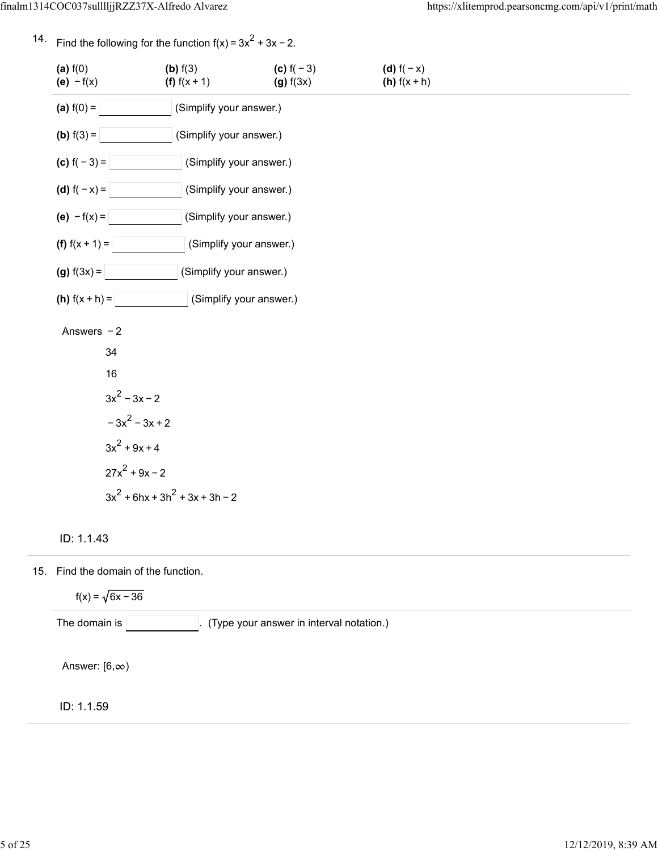Find the following for the function  $f(x) = 3x^2 + 3x - 2$ .

14.

- ID: 1.1.43 **(a)**  $f(0)$  **(b)**  $f(3)$  **(c)**  $f(-3)$  **(d)**  $f(-x)$ **(e)**  $-f(x)$  **(f)**  $f(x + 1)$  **(g)**  $f(3x)$  **(h)**  $f(x + h)$ **(a)**  $f(0) =$   $\vert$  (Simplify your answer.) **(b)**  $f(3) =$   $\vert$  (Simplify your answer.) **(c)**  $f(-3) =$  (Simplify your answer.) **(d)**  $f(-x) =$  (Simplify your answer.) **(e)**  $-f(x) =$  (Simplify your answer.) **(f)**  $f(x + 1) =$  (Simplify your answer.) **(g)**  $f(3x) =$   $\vert$  (Simplify your answer.) **(h)**  $f(x + h) =$  (Simplify your answer.) Answers − 2 34 16  $3x^2 - 3x - 2$  $-3x^2 - 3x + 2$  $3x^2 + 9x + 4$  $27x^2 + 9x - 2$  $3x^{2}$  + 6hx + 3h<sup>2</sup> + 3x + 3h - 2
- 15. Find the domain of the function. ID: 1.1.59  $f(x) = \sqrt{6x - 36}$ The domain is  $\vert$   $\vert$   $\vert$  (Type your answer in interval notation.) Answer:  $[6, \infty)$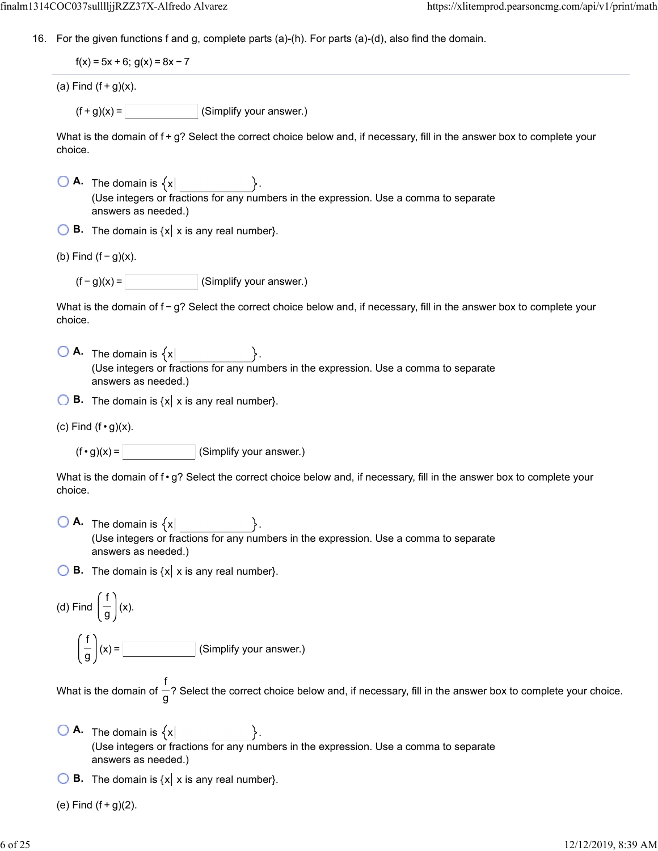16. For the given functions f and g, complete parts (a)-(h). For parts (a)-(d), also find the domain.

 $f(x) = 5x + 6$ ;  $g(x) = 8x - 7$ 

(a) Find  $(f+g)(x)$ .

 $(f + g)(x) =$  (Simplify your answer.)

What is the domain of f +  $g$ ? Select the correct choice below and, if necessary, fill in the answer box to complete your choice.

 $\overline{A}$ . The domain is  $\{x\}$ (Use integers or fractions for any numbers in the expression. Use a comma to separate answers as needed.)

 $\bigcirc$  **B.** The domain is  $\{x \mid x \text{ is any real number}\}.$ 

(b) Find  $(f - g)(x)$ .

 $(f - g)(x) =$  (Simplify your answer.)

What is the domain of f − g? Select the correct choice below and, if necessary, fill in the answer box to complete your choice.

 $\bigcirc$  **A.** The domain is  $\{x\}$ (Use integers or fractions for any numbers in the expression. Use a comma to separate answers as needed.)

**B.** The domain is  $\{x \mid x \text{ is any real number}\}.$ 

(c) Find  $(f \cdot g)(x)$ .

 $(f \cdot g)(x) =$  (Simplify your answer.)

What is the domain of f  $\cdot$  g? Select the correct choice below and, if necessary, fill in the answer box to complete your choice.

 $\overline{A}$ . The domain is  $\{x\}$ (Use integers or fractions for any numbers in the expression. Use a comma to separate answers as needed.)

**B.** The domain is  $\{x \mid x \text{ is any real number}\}.$ 

(d) Find 
$$
\left(\frac{f}{g}\right)(x)
$$
.  

$$
\left(\frac{f}{g}\right)(x) = \boxed{\qquad \qquad}
$$
 (Simplify your answer.)

What is the domain of  $-?$  Select the correct choice below and, if necessary, fill in the answer box to complete your choice. f g

 $\bigcirc$  **A.** The domain is  $\{x\}$ (Use integers or fractions for any numbers in the expression. Use a comma to separate answers as needed.)

 $\bigcirc$  **B.** The domain is  $\{x \mid x \text{ is any real number}\}.$ 

(e) Find  $(f + q)(2)$ .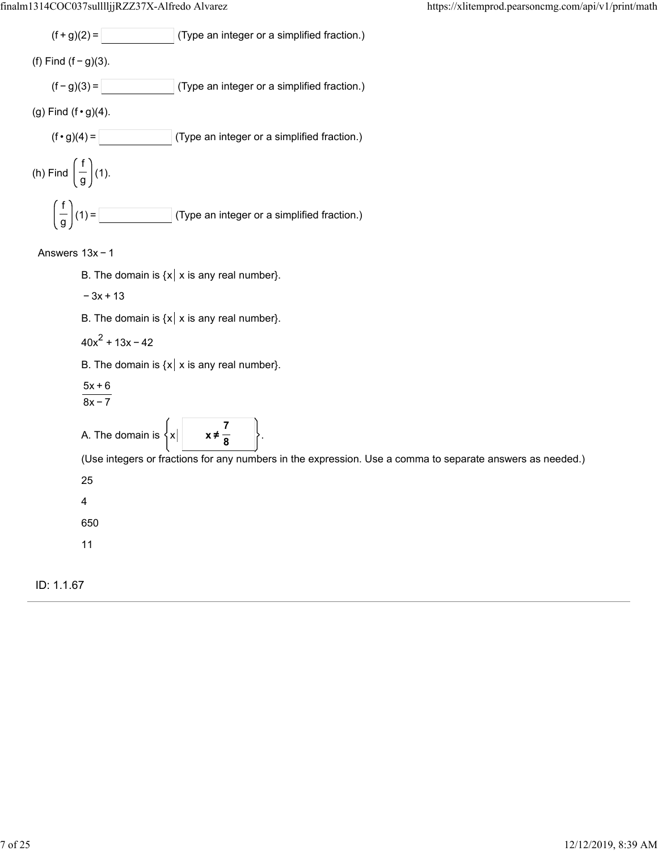

### Answers 13x − 1

- B. The domain is  $\{x \mid x \text{ is any real number}\}.$
- − 3x + 13
- B. The domain is  $\{x \mid x \text{ is any real number}\}.$
- $40x^2 + 13x 42$

```
B. The domain is \{x \mid x \text{ is any real number} \}.
```
- $\frac{5x + 6}{1}$
- $8x 7$

A. The domain is  $\{x\}$ **7 8**

(Use integers or fractions for any numbers in the expression. Use a comma to separate answers as needed.)

25

4

650

11

# ID: 1.1.67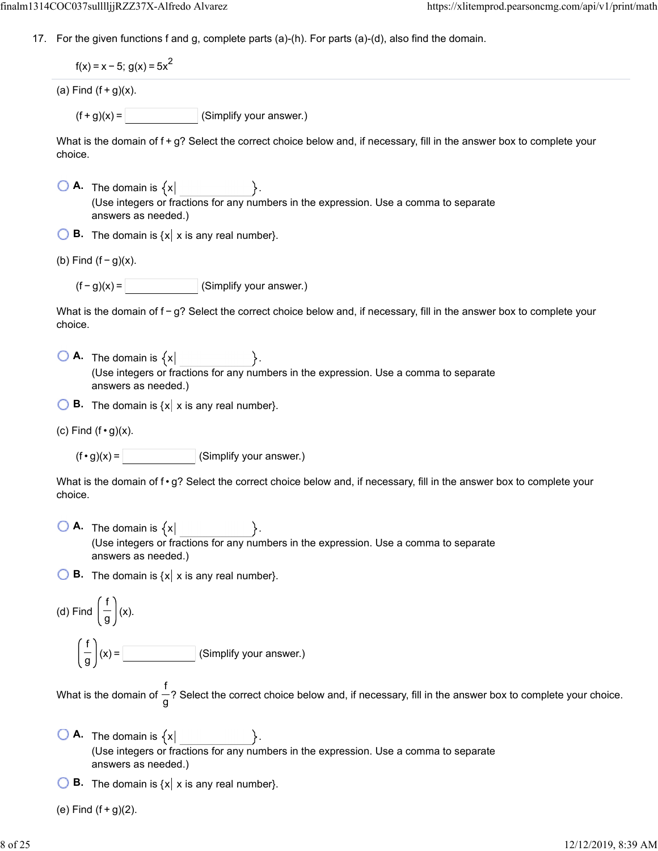17. For the given functions f and g, complete parts (a)-(h). For parts (a)-(d), also find the domain.

 $f(x) = x - 5$ ; g(x) = 5x<sup>2</sup>

(a) Find  $(f+g)(x)$ .

 $(f + g)(x) =$  (Simplify your answer.)

What is the domain of f +  $g$ ? Select the correct choice below and, if necessary, fill in the answer box to complete your choice.

- $\bigcirc$  **A.** The domain is  $\{x\}$ (Use integers or fractions for any numbers in the expression. Use a comma to separate answers as needed.)
- **B.** The domain is  $\{x \mid x \text{ is any real number}\}.$
- (b) Find  $(f g)(x)$ .

 $(f - g)(x) =$  (Simplify your answer.)

What is the domain of f – g? Select the correct choice below and, if necessary, fill in the answer box to complete your choice.

- $\overline{A}$ . The domain is  $\{x\}$ (Use integers or fractions for any numbers in the expression. Use a comma to separate answers as needed.)
- **B.** The domain is  $\{x \mid x \text{ is any real number}\}.$
- (c) Find  $(f \cdot g)(x)$ .

 $(f \cdot g)(x) =$  (Simplify your answer.)

What is the domain of f  $\cdot$  g? Select the correct choice below and, if necessary, fill in the answer box to complete your choice.

 $\begin{bmatrix} \mathbf{A} & \mathbf{A} \\ \mathbf{A} & \mathbf{A} \end{bmatrix}$  **A.** The domain is  $\{x \mid \mathbf{A}$ (Use integers or fractions for any numbers in the expression. Use a comma to separate answers as needed.)

 $\bigcirc$  **B.** The domain is  $\{x \mid x \text{ is any real number}\}.$ 

(d) Find 
$$
\left(\frac{f}{g}\right)(x)
$$
.  
\n
$$
\left(\frac{f}{g}\right)(x) = \boxed{\qquad \qquad}
$$
 (Simplify your answer.)

What is the domain of  $-$ ? Select the correct choice below and, if necessary, fill in the answer box to complete your choice. f g

 $\Box$  **A.** The domain is  $\{x\}$ (Use integers or fractions for any numbers in the expression. Use a comma to separate answers as needed.)

**B.** The domain is  $\{x \mid x \text{ is any real number}\}.$ 

(e) Find  $(f + g)(2)$ .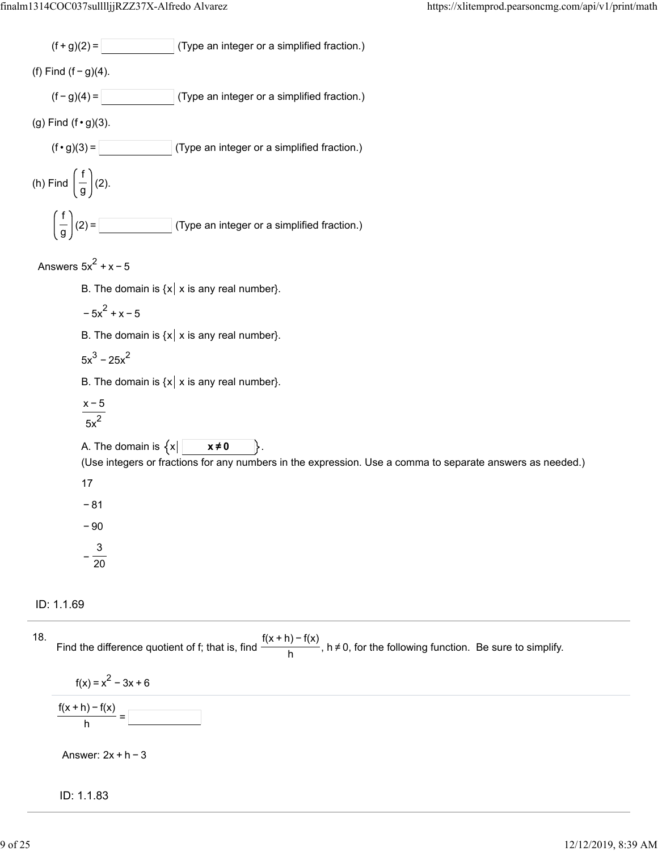$$
(f+g)(2) = \boxed{\qquad \qquad}
$$
 (Type an integer or a simplified fraction.)

(f) Find  $(f - g)(4)$ .

 $(f - g)(4) =$  (Type an integer or a simplified fraction.)

(g) Find  $(f \cdot g)(3)$ .

$$
(\mathsf{f} \cdot \mathsf{g})(3) = \boxed{\qquad \qquad \text{(Type an integer or a simplified fraction.)}}
$$

(h) Find 
$$
\left(\frac{f}{g}\right)(2)
$$
.  
\n
$$
\left(\frac{f}{g}\right)(2) = \boxed{\qquad \qquad}
$$
\n(Type an integer or a simplified fraction.)

Answers  $5x^2 + x - 5$ 

B. The domain is  $\{x \mid x \text{ is any real number} \}$ .

$$
-5x^2 + x - 5
$$

B. The domain is  $\{x \mid x \text{ is any real number}\}.$ 

$$
5x^3 - 25x^2
$$

B. The domain is  $\{x \mid x \text{ is any real number}\}.$ 

$$
\frac{x-5}{5x^2}
$$

A. The domain is  $\{x | \begin{bmatrix} x \neq 0 \\ x \neq 0 \end{bmatrix}$ 

(Use integers or fractions for any numbers in the expression. Use a comma to separate answers as needed.)

17

− 81

− 90

 $-\frac{3}{20}$ 

ID: 1.1.69



ID: 1.1.83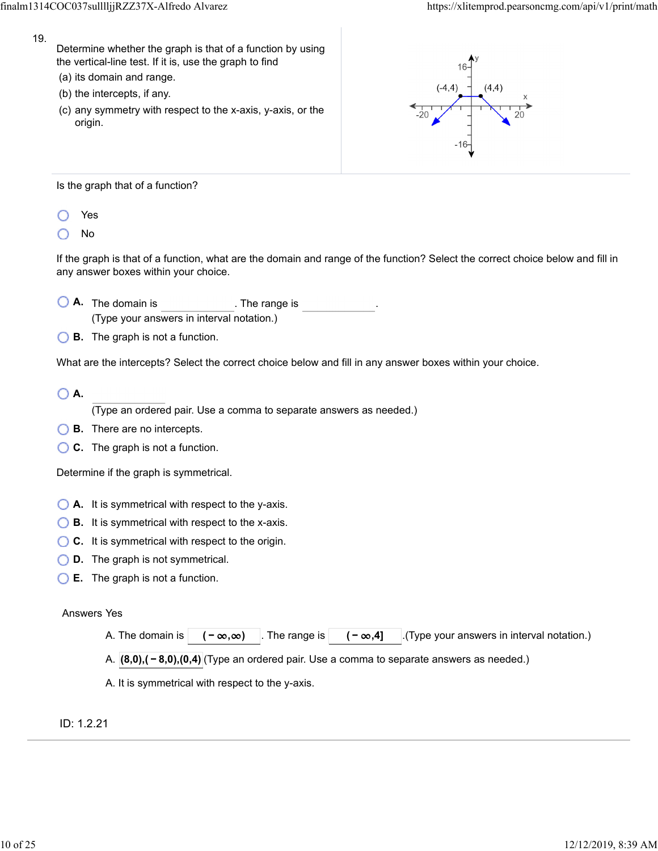- 19.
- Determine whether the graph is that of a function by using the vertical-line test. If it is, use the graph to find
- (a) its domain and range.
- (b) the intercepts, if any.
- (c) any symmetry with respect to the x-axis, y-axis, or the origin.



Is the graph that of a function?

- Yes
- No

If the graph is that of a function, what are the domain and range of the function? Select the correct choice below and fill in any answer boxes within your choice.

- **A.** The domain is . The range is (Type your answers in interval notation.)
- **B.** The graph is not a function.

What are the intercepts? Select the correct choice below and fill in any answer boxes within your choice.

**A.**

(Type an ordered pair. Use a comma to separate answers as needed.)

- **B.** There are no intercepts.
- **C.** The graph is not a function.

Determine if the graph is symmetrical.

- **A.** It is symmetrical with respect to the y-axis.
- **B.** It is symmetrical with respect to the x-axis.
- ◯ **C.** It is symmetrical with respect to the origin.
- **D.** The graph is not symmetrical.
- **E.** The graph is not a function.

### Answers Yes

A. The domain is  $\begin{pmatrix} -\infty, \infty \end{pmatrix}$  The range is  $\begin{pmatrix} -\infty, 4 \end{pmatrix}$  (Type your answers in interval notation.)

A. **(8,0),( − 8,0),(0,4)** (Type an ordered pair. Use a comma to separate answers as needed.)

A. It is symmetrical with respect to the y-axis.

ID: 1.2.21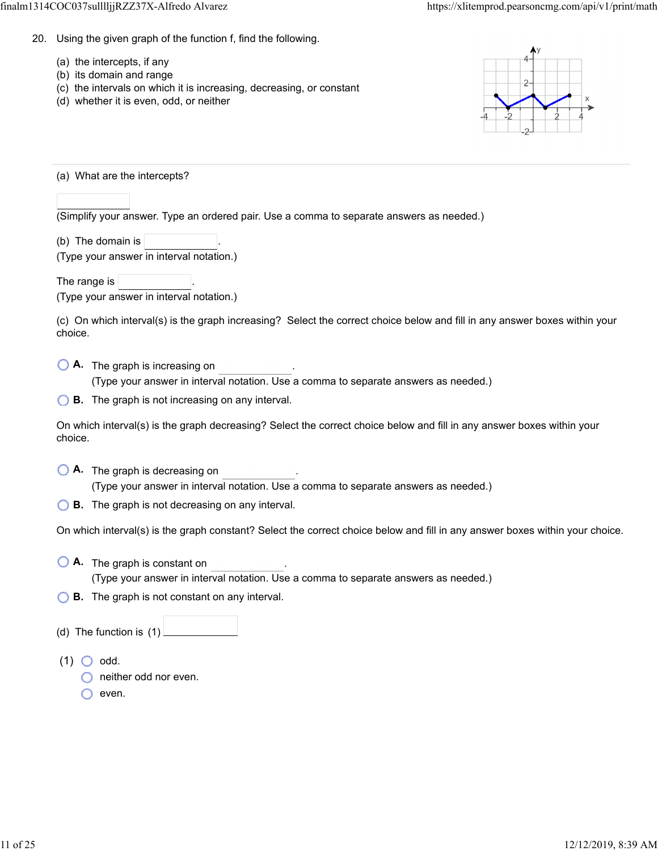- 20. Using the given graph of the function f, find the following.
	- (a) the intercepts, if any
	- (b) its domain and range
	- (c) the intervals on which it is increasing, decreasing, or constant
	- (d) whether it is even, odd, or neither



(a) What are the intercepts?

(Simplify your answer. Type an ordered pair. Use a comma to separate answers as needed.)

(b) The domain is  $\vert$ 

| (Type your answer in interval notation.) |  |  |  |
|------------------------------------------|--|--|--|

The range is

(Type your answer in interval notation.)

(c) On which interval(s) is the graph increasing? Select the correct choice below and fill in any answer boxes within your choice.

**A.** The graph is increasing on .

(Type your answer in interval notation. Use a comma to separate answers as needed.)

**B.** The graph is not increasing on any interval.

On which interval(s) is the graph decreasing? Select the correct choice below and fill in any answer boxes within your choice.

**A.** The graph is decreasing on .

(Type your answer in interval notation. Use a comma to separate answers as needed.)

**B.** The graph is not decreasing on any interval.

On which interval(s) is the graph constant? Select the correct choice below and fill in any answer boxes within your choice.

- **A.** The graph is constant on . (Type your answer in interval notation. Use a comma to separate answers as needed.)
- **B.** The graph is not constant on any interval.
- (d) The function is (1)

 $(1)$  O odd.

**O** neither odd nor even.

 $\bigcap$  even.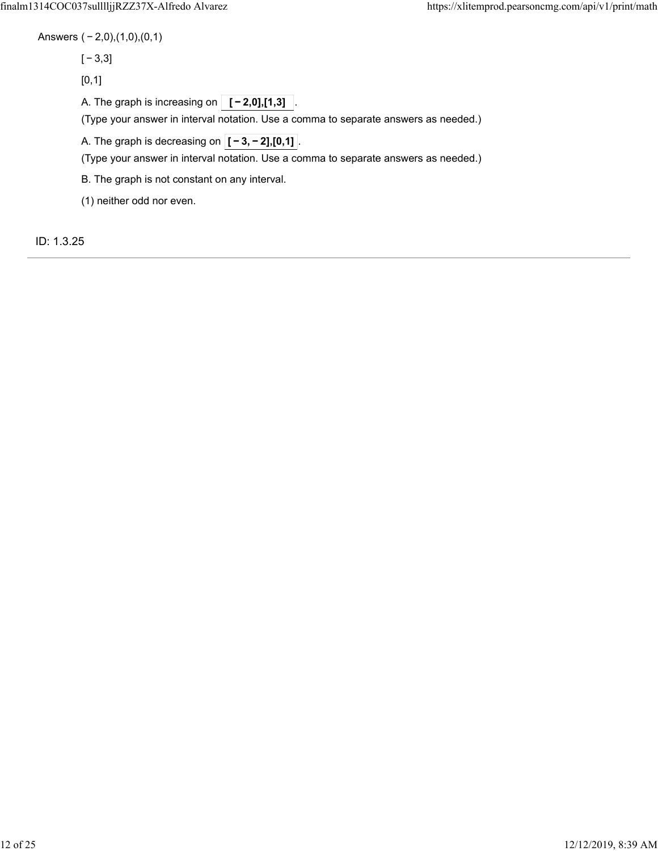Answers ( − 2,0),(1,0),(0,1)

[ − 3,3]

 $[0,1]$ 

A. The graph is increasing on  $\boxed{[-2,0],[1,3]}$ 

(Type your answer in interval notation. Use a comma to separate answers as needed.)

A. The graph is decreasing on  $\overline{[-3,-2],[0,1]}$ .

(Type your answer in interval notation. Use a comma to separate answers as needed.)

B. The graph is not constant on any interval.

(1) neither odd nor even.

ID: 1.3.25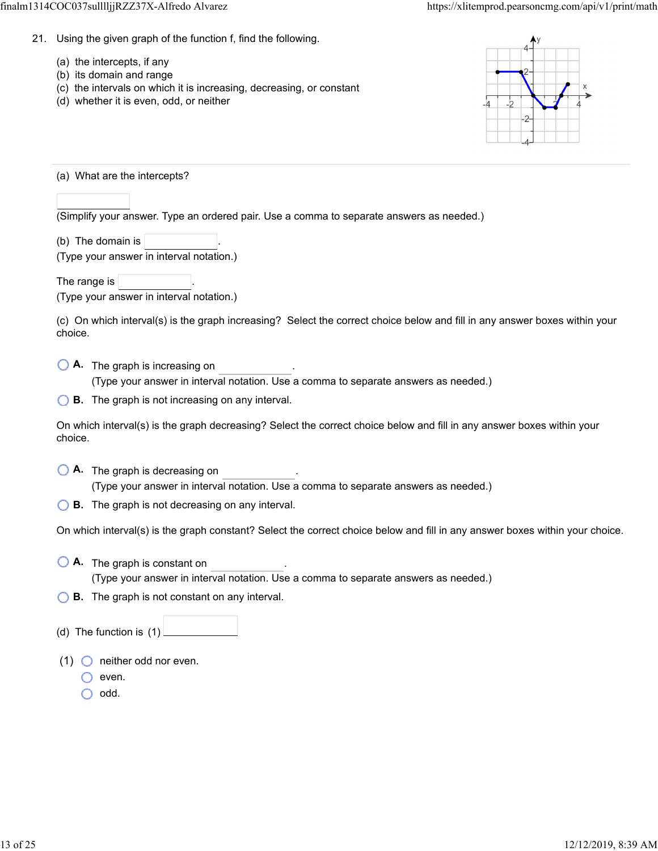- 21. Using the given graph of the function f, find the following.
	- (a) the intercepts, if any
	- (b) its domain and range
	- (c) the intervals on which it is increasing, decreasing, or constant
	- (d) whether it is even, odd, or neither



(a) What are the intercepts?

(Simplify your answer. Type an ordered pair. Use a comma to separate answers as needed.)

(b) The domain is  $\vert$ 

| (Type your answer in interval notation.) |  |  |
|------------------------------------------|--|--|

The range is

(Type your answer in interval notation.)

(c) On which interval(s) is the graph increasing? Select the correct choice below and fill in any answer boxes within your choice.

**A.** The graph is increasing on .

(Type your answer in interval notation. Use a comma to separate answers as needed.)

**B.** The graph is not increasing on any interval.

On which interval(s) is the graph decreasing? Select the correct choice below and fill in any answer boxes within your choice.

**A.** The graph is decreasing on .

(Type your answer in interval notation. Use a comma to separate answers as needed.)

**B.** The graph is not decreasing on any interval.

On which interval(s) is the graph constant? Select the correct choice below and fill in any answer boxes within your choice.

- **A.** The graph is constant on . (Type your answer in interval notation. Use a comma to separate answers as needed.)
- **B.** The graph is not constant on any interval.
- (d) The function is (1)
- (1)  $\bigcirc$  neither odd nor even.
	- $\bigcirc$  even.
	- $\bigcirc$  odd.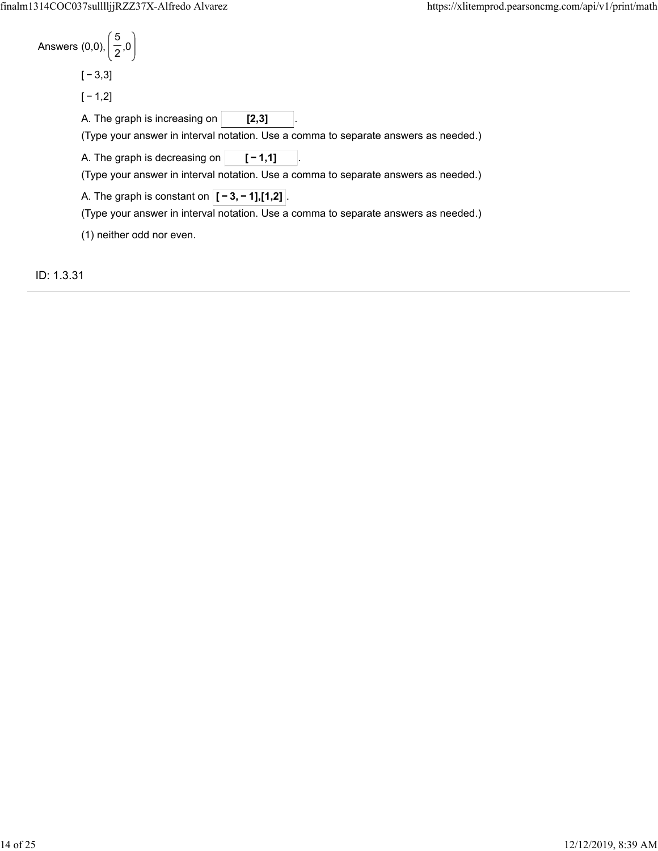ID: 1.3.31

| Answers (0,0), $\left(\frac{5}{2},0\right)$                                                                                                  |
|----------------------------------------------------------------------------------------------------------------------------------------------|
| $[-3,3]$                                                                                                                                     |
| $[-1,2]$                                                                                                                                     |
| A. The graph is increasing on<br>[2,3]<br>(Type your answer in interval notation. Use a comma to separate answers as needed.)                |
| A. The graph is decreasing on $ $<br>$[ -1.1]$<br>(Type your answer in interval notation. Use a comma to separate answers as needed.)        |
| A. The graph is constant on $ [-3, -1]$ , [1,2] $ $ .<br>(Type your answer in interval notation. Use a comma to separate answers as needed.) |
| (1) neither odd nor even.                                                                                                                    |
|                                                                                                                                              |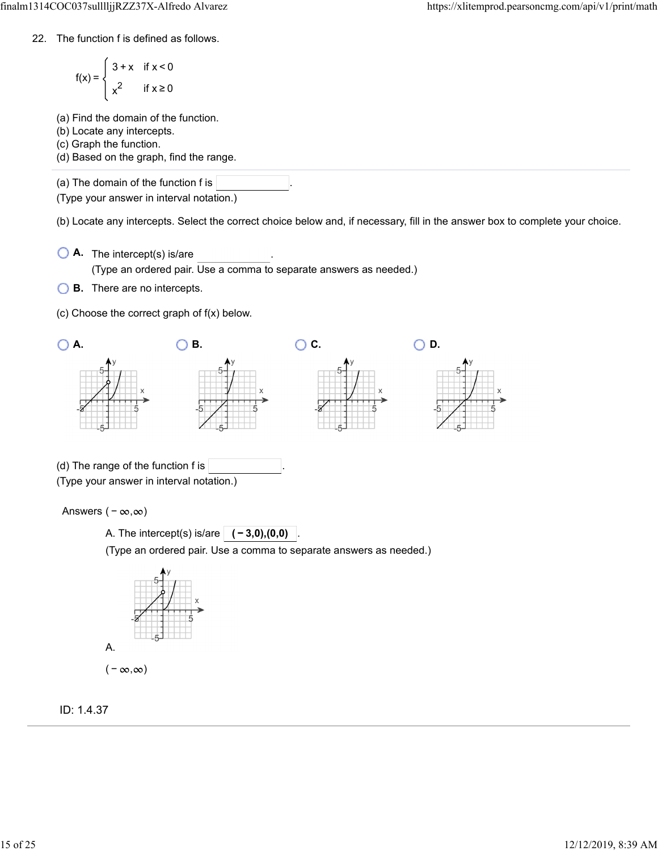22. The function f is defined as follows.

$$
f(x) = \begin{cases} 3 + x & \text{if } x < 0 \\ x^2 & \text{if } x \ge 0 \end{cases}
$$

- (a) Find the domain of the function.
- (b) Locate any intercepts.
- (c) Graph the function.
- (d) Based on the graph, find the range.

(a) The domain of the function f is

(Type your answer in interval notation.)

(b) Locate any intercepts. Select the correct choice below and, if necessary, fill in the answer box to complete your choice.

- **A.** The intercept(s) is/are . (Type an ordered pair. Use a comma to separate answers as needed.)
- **B.** There are no intercepts.
- (c) Choose the correct graph of f(x) below.



(Type an ordered pair. Use a comma to separate answers as needed.)



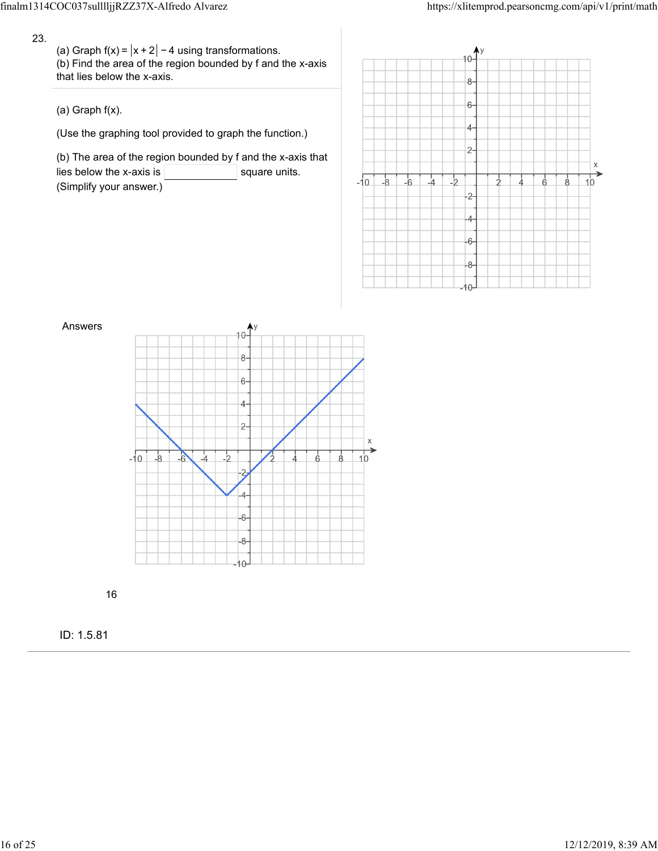23.

(a) Graph  $f(x) = |x + 2| - 4$  using transformations. (b) Find the area of the region bounded by f and the x-axis that lies below the x-axis.

(a) Graph f(x).

(Use the graphing tool provided to graph the function.)

(b) The area of the region bounded by f and the x-axis that lies below the x-axis is  $\vert$  square units. (Simplify your answer.)





16

ID: 1.5.81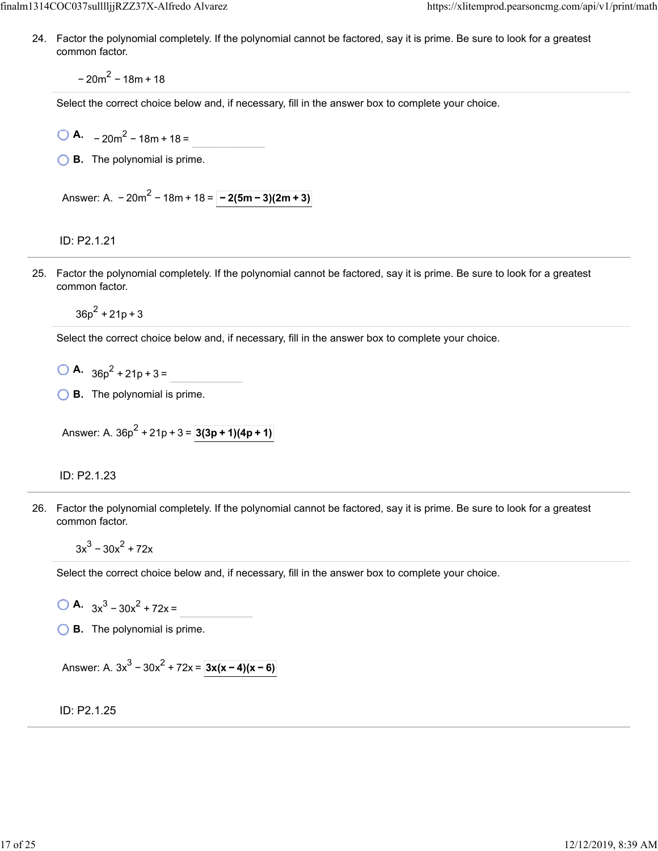24. Factor the polynomial completely. If the polynomial cannot be factored, say it is prime. Be sure to look for a greatest common factor.

 $-20m^2 - 18m + 18$ 

Select the correct choice below and, if necessary, fill in the answer box to complete your choice.

 $\overline{OA}$  – 20m<sup>2</sup> – 18m + 18 =

**B.** The polynomial is prime.

Answer: A.  $-20m^2 - 18m + 18 = \boxed{-2(5m-3)(2m+3)}$ 

ID: P2.1.21

25. Factor the polynomial completely. If the polynomial cannot be factored, say it is prime. Be sure to look for a greatest common factor.

 $36p^2 + 21p + 3$ 

Select the correct choice below and, if necessary, fill in the answer box to complete your choice.

- $\bigcirc$  **A.**  $36p^2 + 21p + 3 =$
- **B.** The polynomial is prime.

Answer: A.  $36p^2 + 21p + 3 = 3(3p + 1)(4p + 1)$ 

ID: P2.1.23

26. Factor the polynomial completely. If the polynomial cannot be factored, say it is prime. Be sure to look for a greatest common factor.

 $3x^3 - 30x^2 + 72x$ 

Select the correct choice below and, if necessary, fill in the answer box to complete your choice.

**A.**  $3x^3 - 30x^2 + 72x =$ 

**B.** The polynomial is prime.

Answer: A.  $3x^3 - 30x^2 + 72x = 3x(x - 4)(x - 6)$ 

ID: P2.1.25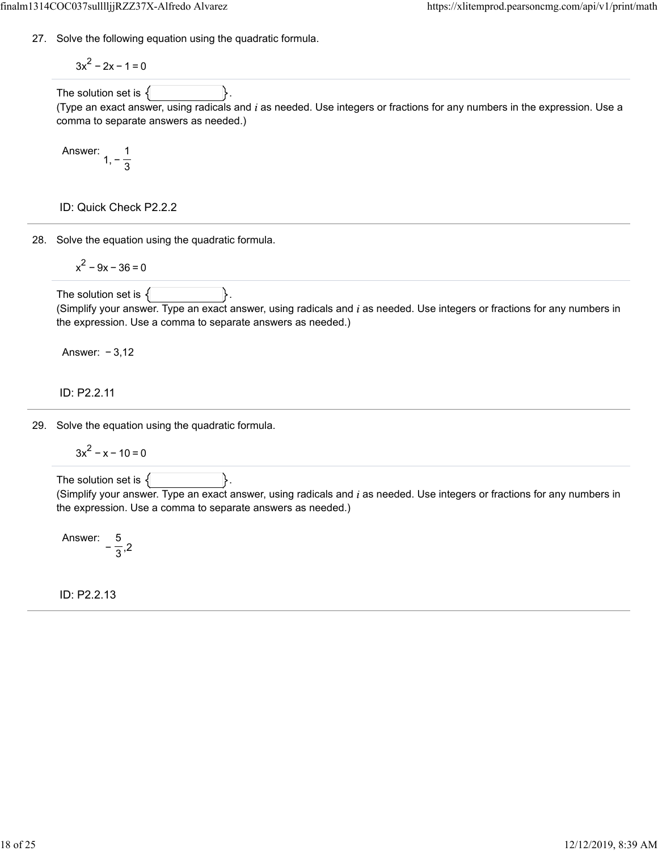27. Solve the following equation using the quadratic formula.

$$
3x^2 - 2x - 1 = 0
$$

The solution set is  $\{$ 

(Type an exact answer, using radicals and  $i$  as needed. Use integers or fractions for any numbers in the expression. Use a comma to separate answers as needed.)

Answer: 
$$
1, -\frac{1}{3}
$$

ID: Quick Check P2.2.2

28. Solve the equation using the quadratic formula.

$$
x^2 - 9x - 36 = 0
$$

The solution set is  $\{$ (Simplify your answer. Type an exact answer, using radicals and  $i$  as needed. Use integers or fractions for any numbers in the expression. Use a comma to separate answers as needed.)

Answer: − 3,12

## ID: P2.2.11

29. Solve the equation using the quadratic formula.

$$
3x^2 - x - 10 = 0
$$

The solution set is  $\{$ (Simplify your answer. Type an exact answer, using radicals and  $i$  as needed. Use integers or fractions for any numbers in the expression. Use a comma to separate answers as needed.)

Answer:  $-\frac{5}{2}$ ,2 3

ID: P2.2.13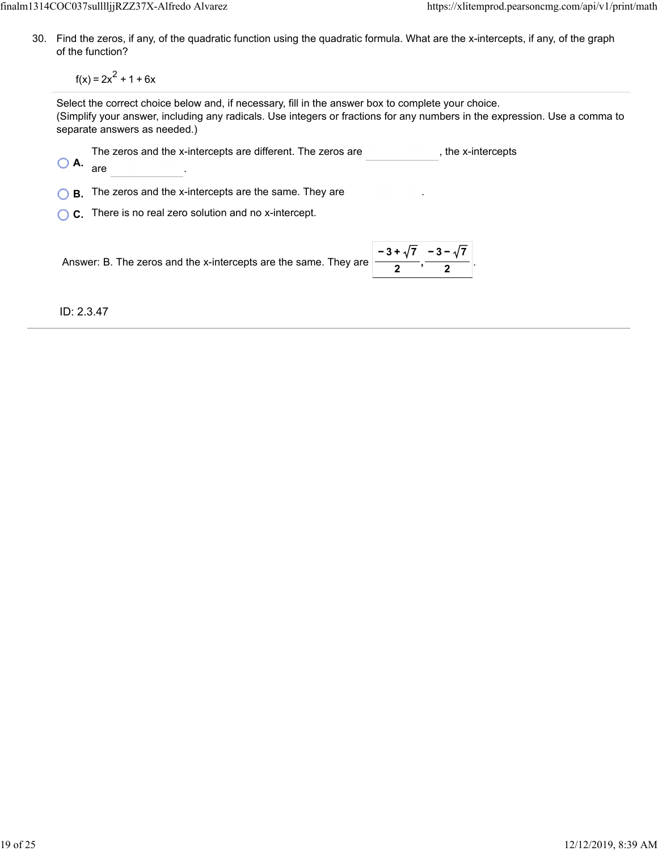30. Find the zeros, if any, of the quadratic function using the quadratic formula. What are the x-intercepts, if any, of the graph of the function?

 $f(x) = 2x^2 + 1 + 6x$ 

Select the correct choice below and, if necessary, fill in the answer box to complete your choice. (Simplify your answer, including any radicals. Use integers or fractions for any numbers in the expression. Use a comma to separate answers as needed.)

| $\bigcirc$ A | The zeros and the x-intercepts are different. The zeros are<br>are                                           | , the x-intercepts |
|--------------|--------------------------------------------------------------------------------------------------------------|--------------------|
| В.           | The zeros and the x-intercepts are the same. They are                                                        |                    |
|              | C. There is no real zero solution and no x-intercept.                                                        |                    |
|              | $\frac{-3+\sqrt{7}}{2}$ - 3 - $\sqrt{7}$<br>Answer: B. The zeros and the x-intercepts are the same. They are |                    |

ID: 2.3.47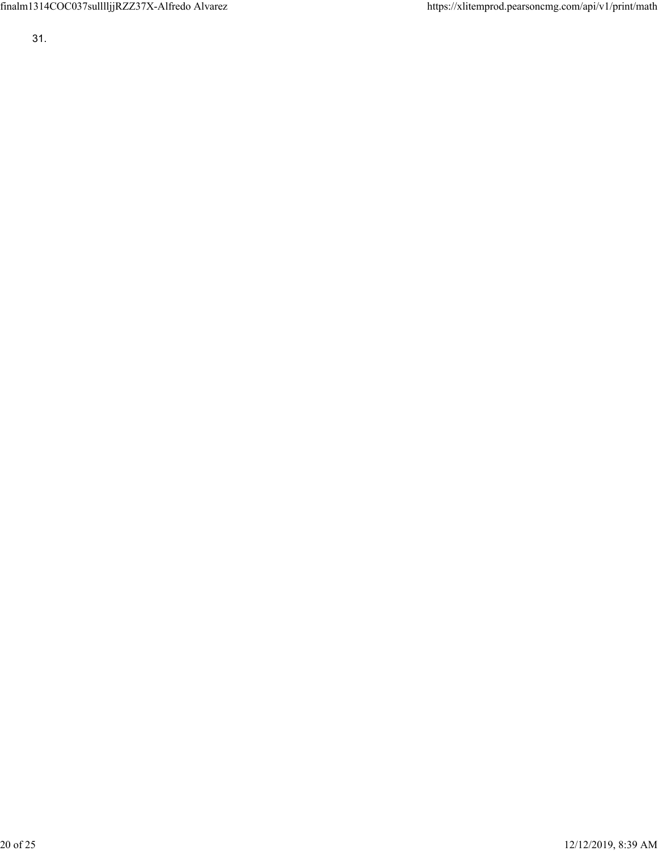finalm1314COC037sulllljjRZZ37X-Alfredo Alvarez https://xlitemprod.pearsoncmg.com/api/v1/print/math

31.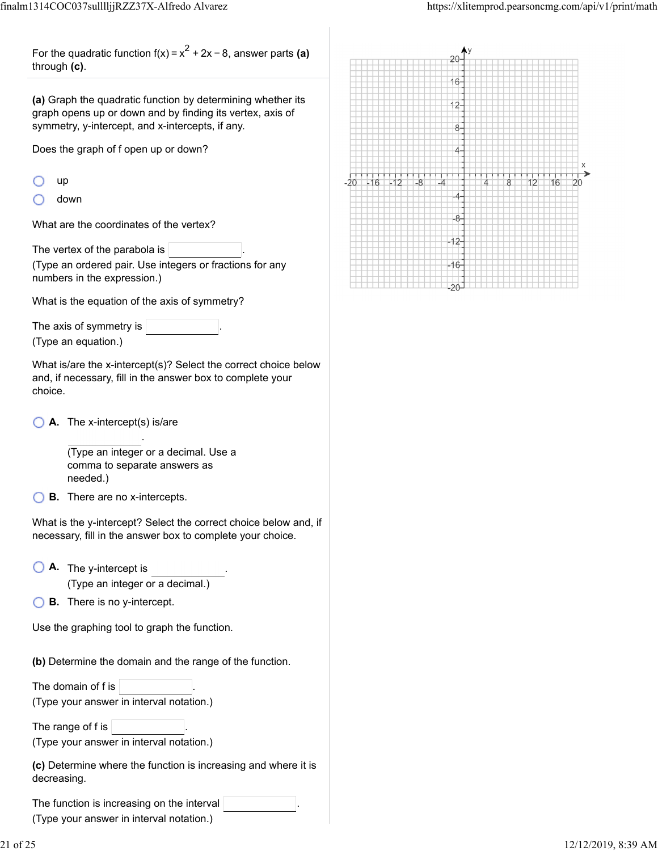For the quadratic function f(x) =  $x^2 + 2x - 8$ , answer parts **(a)** through **(c)**.

**(a)** Graph the quadratic function by determining whether its graph opens up or down and by finding its vertex, axis of symmetry, y-intercept, and x-intercepts, if any.

Does the graph of f open up or down?

down

What are the coordinates of the vertex?

The vertex of the parabola is

(Type an ordered pair. Use integers or fractions for any numbers in the expression.)

What is the equation of the axis of symmetry?

The axis of symmetry is (Type an equation.)

What is/are the x-intercept(s)? Select the correct choice below and, if necessary, fill in the answer box to complete your choice.

**A.** The x-intercept(s) is/are

(Type an integer or a decimal. Use a comma to separate answers as needed.)

.

**B.** There are no x-intercepts.

What is the y-intercept? Select the correct choice below and, if necessary, fill in the answer box to complete your choice.

- **A.** The y-intercept is . (Type an integer or a decimal.)
- **B.** There is no y-intercept.

Use the graphing tool to graph the function.

**(b)** Determine the domain and the range of the function.

The domain of f is (Type your answer in interval notation.)

The range of f is (Type your answer in interval notation.)

**(c)** Determine where the function is increasing and where it is decreasing.

The function is increasing on the interval .

(Type your answer in interval notation.)

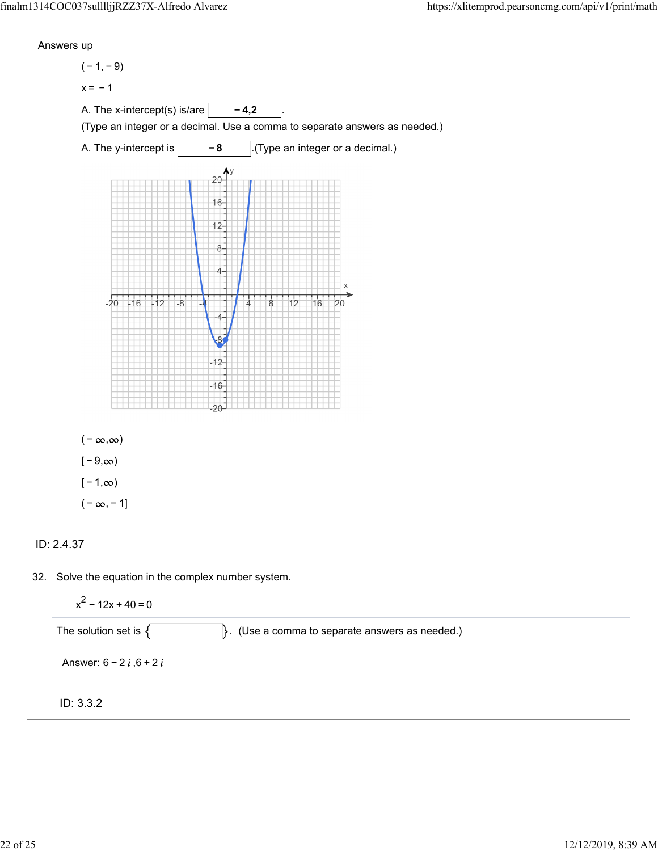Answers up

 $(-1, -9)$ 

 $x = -1$ 

A. The x-intercept(s) is/are **-4,2** 

(Type an integer or a decimal. Use a comma to separate answers as needed.)





 $(-\infty, \infty)$  $[-9, \infty)$  $[-1, \infty)$  $(-\infty, -1]$ 

ID: 2.4.37

32. Solve the equation in the complex number system.

 $x^{2}$  – 12x + 40 = 0

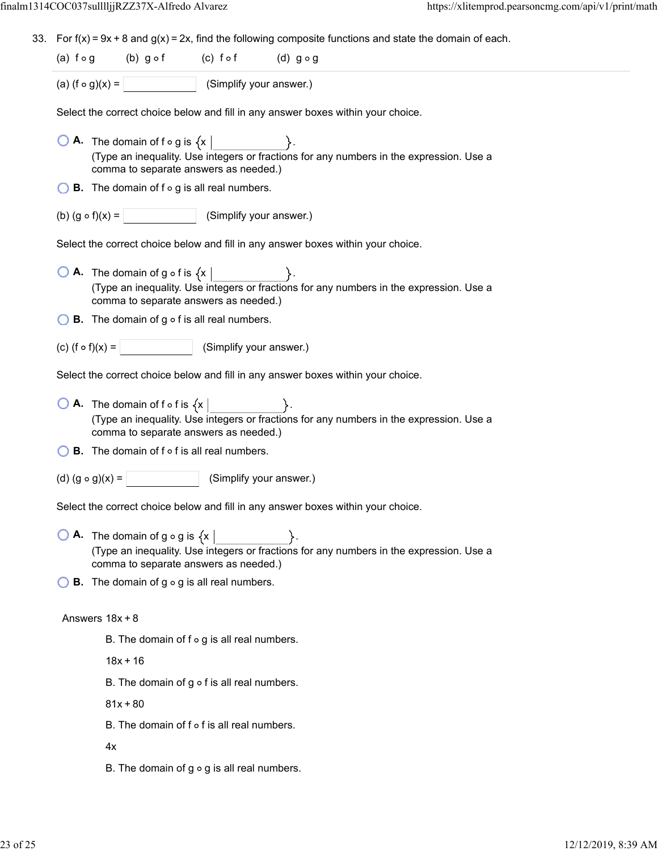33. For  $f(x) = 9x + 8$  and  $g(x) = 2x$ , find the following composite functions and state the domain of each.

| (a) $f \circ g$ | $(b)$ g of | $(c)$ fof | $(d)$ g $\circ$ g |
|-----------------|------------|-----------|-------------------|
|                 |            |           |                   |

(a)  $(f \circ g)(x) =$  (Simplify your answer.)

Select the correct choice below and fill in any answer boxes within your choice.

- $\overline{O}$  **A.** The domain of f  $\circ$  g is  $\{x \mid$ (Type an inequality. Use integers or fractions for any numbers in the expression. Use a comma to separate answers as needed.)
- $\bigcirc$  **B**. The domain of f  $\circ$  g is all real numbers.
- (b)  $(g \circ f)(x) =$  (Simplify your answer.)

Select the correct choice below and fill in any answer boxes within your choice.

- $\bigcirc$  **A.** The domain of g  $\circ$  f is  $\{x \}$ (Type an inequality. Use integers or fractions for any numbers in the expression. Use a comma to separate answers as needed.)
- $\bigcirc$  **B.** The domain of g  $\circ$  f is all real numbers.
- (c)  $(f \circ f)(x) =$  (Simplify your answer.)

Select the correct choice below and fill in any answer boxes within your choice.

- $\bigcirc$  **A.** The domain of f o f is  $\{x \}$ (Type an inequality. Use integers or fractions for any numbers in the expression. Use a comma to separate answers as needed.)
- $\bigcirc$  **B.** The domain of f  $\circ$  f is all real numbers.
- (d)  $(g \circ g)(x) =$  (Simplify your answer.)

Select the correct choice below and fill in any answer boxes within your choice.

**O A.** The domain of  $g \circ g$  is  $\{x \mid \}$ . (Type an inequality. Use integers or fractions for any numbers in the expression. Use a comma to separate answers as needed.)

 $\bigcirc$  **B**. The domain of g  $\circ$  g is all real numbers.

#### Answers 18x + 8

B. The domain of  $f \circ g$  is all real numbers.

 $18x + 16$ 

B. The domain of  $g \circ f$  is all real numbers.

 $81x + 80$ 

 $B.$  The domain of  $f \circ f$  is all real numbers.

4x

B. The domain of  $g \circ g$  is all real numbers.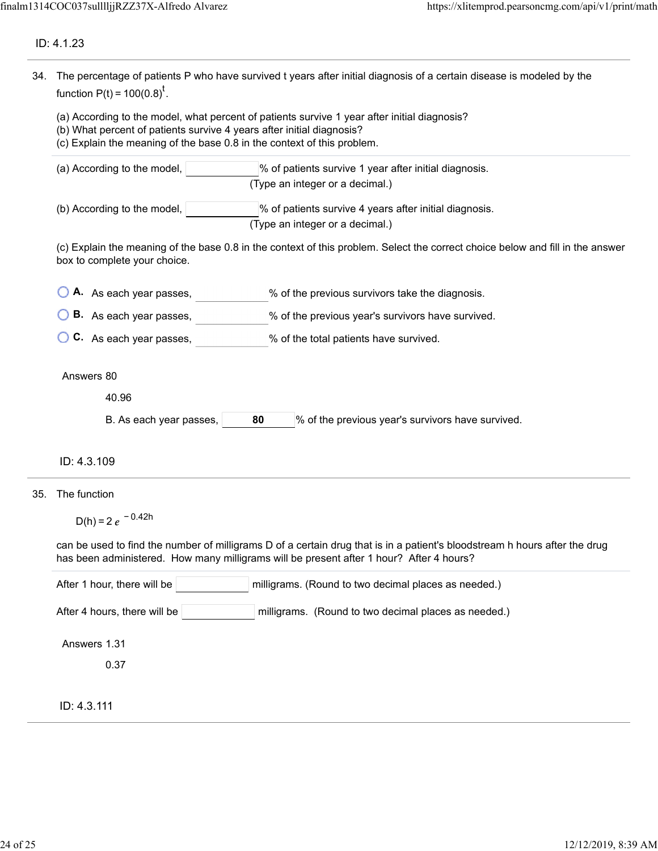## ID: 4.1.23

|     | 34. The percentage of patients P who have survived t years after initial diagnosis of a certain disease is modeled by the<br>function $P(t) = 100(0.8)^t$ .<br>(a) According to the model, what percent of patients survive 1 year after initial diagnosis?<br>(b) What percent of patients survive 4 years after initial diagnosis?<br>(c) Explain the meaning of the base 0.8 in the context of this problem. |  |  |  |  |
|-----|-----------------------------------------------------------------------------------------------------------------------------------------------------------------------------------------------------------------------------------------------------------------------------------------------------------------------------------------------------------------------------------------------------------------|--|--|--|--|
|     |                                                                                                                                                                                                                                                                                                                                                                                                                 |  |  |  |  |
|     | (a) According to the model,<br>% of patients survive 1 year after initial diagnosis.<br>(Type an integer or a decimal.)                                                                                                                                                                                                                                                                                         |  |  |  |  |
|     | (b) According to the model,<br>% of patients survive 4 years after initial diagnosis.<br>(Type an integer or a decimal.)                                                                                                                                                                                                                                                                                        |  |  |  |  |
|     | (c) Explain the meaning of the base 0.8 in the context of this problem. Select the correct choice below and fill in the answer<br>box to complete your choice.                                                                                                                                                                                                                                                  |  |  |  |  |
|     | A. As each year passes,<br>% of the previous survivors take the diagnosis.                                                                                                                                                                                                                                                                                                                                      |  |  |  |  |
|     | <b>B.</b> As each year passes,<br>% of the previous year's survivors have survived.                                                                                                                                                                                                                                                                                                                             |  |  |  |  |
|     | C. As each year passes,<br>% of the total patients have survived.                                                                                                                                                                                                                                                                                                                                               |  |  |  |  |
|     | Answers 80                                                                                                                                                                                                                                                                                                                                                                                                      |  |  |  |  |
|     | 40.96                                                                                                                                                                                                                                                                                                                                                                                                           |  |  |  |  |
|     | % of the previous year's survivors have survived.<br>B. As each year passes,<br>80                                                                                                                                                                                                                                                                                                                              |  |  |  |  |
|     | ID: 4.3.109                                                                                                                                                                                                                                                                                                                                                                                                     |  |  |  |  |
| 35. | The function                                                                                                                                                                                                                                                                                                                                                                                                    |  |  |  |  |
|     | D(h) = 2 $e^{-0.42h}$                                                                                                                                                                                                                                                                                                                                                                                           |  |  |  |  |
|     | can be used to find the number of milligrams D of a certain drug that is in a patient's bloodstream h hours after the drug<br>has been administered. How many milligrams will be present after 1 hour? After 4 hours?                                                                                                                                                                                           |  |  |  |  |
|     | After 1 hour, there will be<br>milligrams. (Round to two decimal places as needed.)                                                                                                                                                                                                                                                                                                                             |  |  |  |  |
|     | After 4 hours, there will be<br>milligrams. (Round to two decimal places as needed.)                                                                                                                                                                                                                                                                                                                            |  |  |  |  |
|     | Answers 1.31                                                                                                                                                                                                                                                                                                                                                                                                    |  |  |  |  |
|     | 0.37                                                                                                                                                                                                                                                                                                                                                                                                            |  |  |  |  |
|     | ID: 4.3.111                                                                                                                                                                                                                                                                                                                                                                                                     |  |  |  |  |